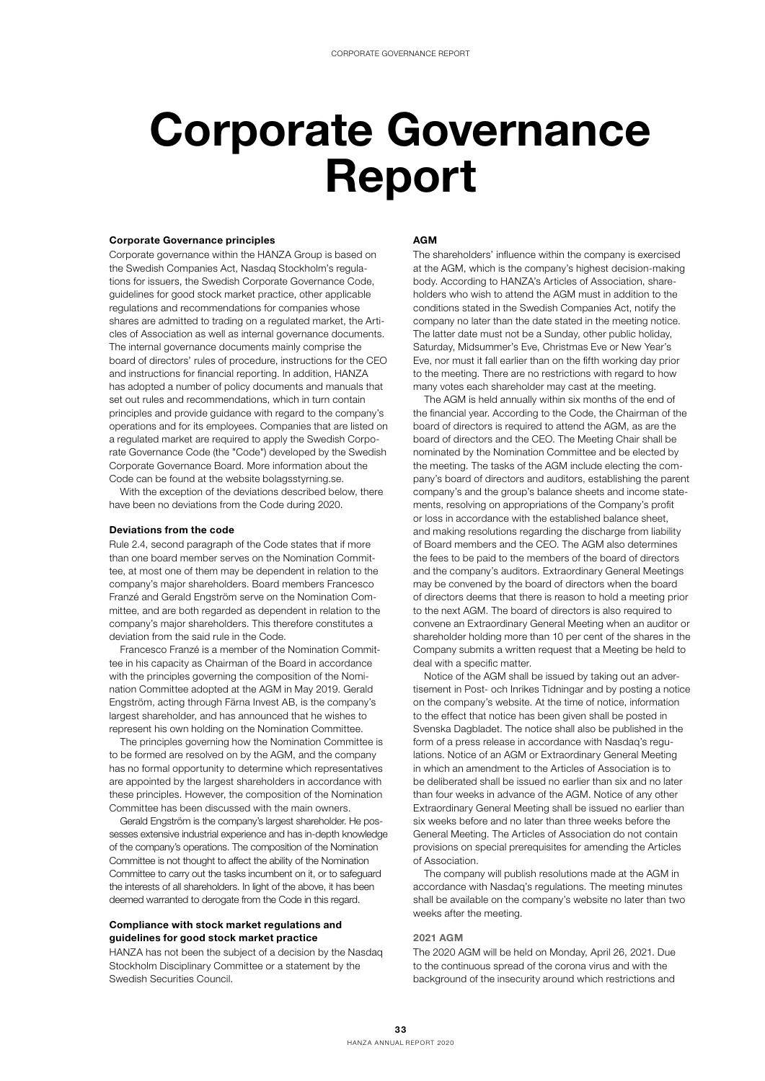# Corporate Governance Report

#### Corporate Governance principles

Corporate governance within the HANZA Group is based on the Swedish Companies Act, Nasdaq Stockholm's regulations for issuers, the Swedish Corporate Governance Code, guidelines for good stock market practice, other applicable regulations and recommendations for companies whose shares are admitted to trading on a regulated market, the Articles of Association as well as internal governance documents. The internal governance documents mainly comprise the board of directors' rules of procedure, instructions for the CEO and instructions for financial reporting. In addition, HANZA has adopted a number of policy documents and manuals that set out rules and recommendations, which in turn contain principles and provide guidance with regard to the company's operations and for its employees. Companies that are listed on a regulated market are required to apply the Swedish Corporate Governance Code (the "Code") developed by the Swedish Corporate Governance Board. More information about the Code can be found at the website bolagsstyrning.se.

With the exception of the deviations described below, there have been no deviations from the Code during 2020.

## Deviations from the code

Rule 2.4, second paragraph of the Code states that if more than one board member serves on the Nomination Committee, at most one of them may be dependent in relation to the company's major shareholders. Board members Francesco Franzé and Gerald Engström serve on the Nomination Committee, and are both regarded as dependent in relation to the company's major shareholders. This therefore constitutes a deviation from the said rule in the Code.

Francesco Franzé is a member of the Nomination Committee in his capacity as Chairman of the Board in accordance with the principles governing the composition of the Nomination Committee adopted at the AGM in May 2019. Gerald Engström, acting through Färna Invest AB, is the company's largest shareholder, and has announced that he wishes to represent his own holding on the Nomination Committee.

The principles governing how the Nomination Committee is to be formed are resolved on by the AGM, and the company has no formal opportunity to determine which representatives are appointed by the largest shareholders in accordance with these principles. However, the composition of the Nomination Committee has been discussed with the main owners.

Gerald Engström is the company's largest shareholder. He possesses extensive industrial experience and has in-depth knowledge of the company's operations. The composition of the Nomination Committee is not thought to affect the ability of the Nomination Committee to carry out the tasks incumbent on it, or to safeguard the interests of all shareholders. In light of the above, it has been deemed warranted to derogate from the Code in this regard.

# Compliance with stock market regulations and guidelines for good stock market practice

HANZA has not been the subject of a decision by the Nasdaq Stockholm Disciplinary Committee or a statement by the Swedish Securities Council.

## AGM

The shareholders' influence within the company is exercised at the AGM, which is the company's highest decision-making body. According to HANZA's Articles of Association, shareholders who wish to attend the AGM must in addition to the conditions stated in the Swedish Companies Act, notify the company no later than the date stated in the meeting notice. The latter date must not be a Sunday, other public holiday, Saturday, Midsummer's Eve, Christmas Eve or New Year's Eve, nor must it fall earlier than on the fifth working day prior to the meeting. There are no restrictions with regard to how many votes each shareholder may cast at the meeting.

The AGM is held annually within six months of the end of the financial year. According to the Code, the Chairman of the board of directors is required to attend the AGM, as are the board of directors and the CEO. The Meeting Chair shall be nominated by the Nomination Committee and be elected by the meeting. The tasks of the AGM include electing the company's board of directors and auditors, establishing the parent company's and the group's balance sheets and income statements, resolving on appropriations of the Company's profit or loss in accordance with the established balance sheet, and making resolutions regarding the discharge from liability of Board members and the CEO. The AGM also determines the fees to be paid to the members of the board of directors and the company's auditors. Extraordinary General Meetings may be convened by the board of directors when the board of directors deems that there is reason to hold a meeting prior to the next AGM. The board of directors is also required to convene an Extraordinary General Meeting when an auditor or shareholder holding more than 10 per cent of the shares in the Company submits a written request that a Meeting be held to deal with a specific matter.

Notice of the AGM shall be issued by taking out an advertisement in Post- och Inrikes Tidningar and by posting a notice on the company's website. At the time of notice, information to the effect that notice has been given shall be posted in Svenska Dagbladet. The notice shall also be published in the form of a press release in accordance with Nasdaq's regulations. Notice of an AGM or Extraordinary General Meeting in which an amendment to the Articles of Association is to be deliberated shall be issued no earlier than six and no later than four weeks in advance of the AGM. Notice of any other Extraordinary General Meeting shall be issued no earlier than six weeks before and no later than three weeks before the General Meeting. The Articles of Association do not contain provisions on special prerequisites for amending the Articles of Association.

The company will publish resolutions made at the AGM in accordance with Nasdaq's regulations. The meeting minutes shall be available on the company's website no later than two weeks after the meeting.

#### 2021 AGM

The 2020 AGM will be held on Monday, April 26, 2021. Due to the continuous spread of the corona virus and with the background of the insecurity around which restrictions and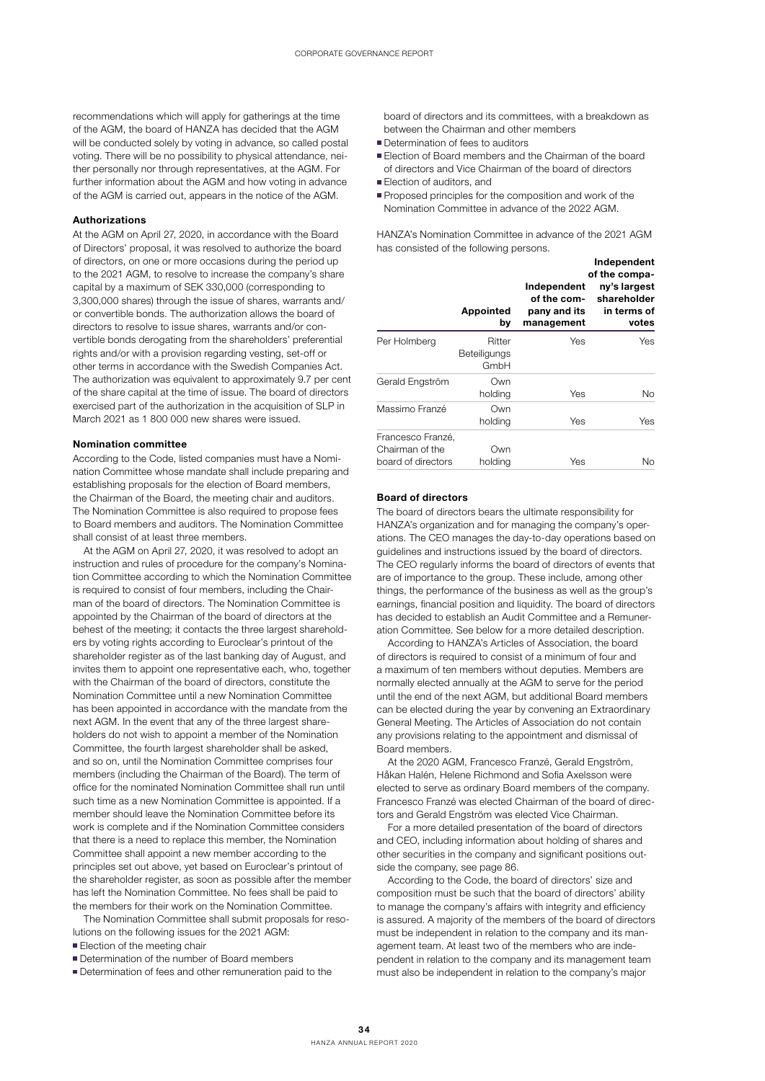recommendations which will apply for gatherings at the time of the AGM, the board of HANZA has decided that the AGM will be conducted solely by voting in advance, so called postal voting. There will be no possibility to physical attendance, neither personally nor through representatives, at the AGM. For further information about the AGM and how voting in advance of the AGM is carried out, appears in the notice of the AGM.

# Authorizations

At the AGM on April 27, 2020, in accordance with the Board of Directors' proposal, it was resolved to authorize the board of directors, on one or more occasions during the period up to the 2021 AGM, to resolve to increase the company's share capital by a maximum of SEK 330,000 (corresponding to 3,300,000 shares) through the issue of shares, warrants and/ or convertible bonds. The authorization allows the board of directors to resolve to issue shares, warrants and/or convertible bonds derogating from the shareholders' preferential rights and/or with a provision regarding vesting, set-off or other terms in accordance with the Swedish Companies Act. The authorization was equivalent to approximately 9.7 per cent of the share capital at the time of issue. The board of directors exercised part of the authorization in the acquisition of SLP in March 2021 as 1 800 000 new shares were issued.

## Nomination committee

According to the Code, listed companies must have a Nomination Committee whose mandate shall include preparing and establishing proposals for the election of Board members, the Chairman of the Board, the meeting chair and auditors. The Nomination Committee is also required to propose fees to Board members and auditors. The Nomination Committee shall consist of at least three members.

At the AGM on April 27, 2020, it was resolved to adopt an instruction and rules of procedure for the company's Nomination Committee according to which the Nomination Committee is required to consist of four members, including the Chairman of the board of directors. The Nomination Committee is appointed by the Chairman of the board of directors at the behest of the meeting; it contacts the three largest shareholders by voting rights according to Euroclear's printout of the shareholder register as of the last banking day of August, and invites them to appoint one representative each, who, together with the Chairman of the board of directors, constitute the Nomination Committee until a new Nomination Committee has been appointed in accordance with the mandate from the next AGM. In the event that any of the three largest shareholders do not wish to appoint a member of the Nomination Committee, the fourth largest shareholder shall be asked, and so on, until the Nomination Committee comprises four members (including the Chairman of the Board). The term of office for the nominated Nomination Committee shall run until such time as a new Nomination Committee is appointed. If a member should leave the Nomination Committee before its work is complete and if the Nomination Committee considers that there is a need to replace this member, the Nomination Committee shall appoint a new member according to the principles set out above, yet based on Euroclear's printout of the shareholder register, as soon as possible after the member has left the Nomination Committee. No fees shall be paid to the members for their work on the Nomination Committee.

The Nomination Committee shall submit proposals for resolutions on the following issues for the 2021 AGM:

- **Election of the meeting chair**
- Determination of the number of Board members
- Determination of fees and other remuneration paid to the

board of directors and its committees, with a breakdown as between the Chairman and other members

- Determination of fees to auditors
- **Election of Board members and the Chairman of the board** of directors and Vice Chairman of the board of directors
- **Election of auditors, and**
- **Proposed principles for the composition and work of the** Nomination Committee in advance of the 2022 AGM.

HANZA's Nomination Committee in advance of the 2021 AGM has consisted of the following persons.

|                                                            | Appointed<br>by                | Independent<br>of the com-<br>pany and its<br>management | Independent<br>of the compa-<br>ny's largest<br>shareholder<br>in terms of<br>votes |
|------------------------------------------------------------|--------------------------------|----------------------------------------------------------|-------------------------------------------------------------------------------------|
| Per Holmberg                                               | Ritter<br>Beteiligungs<br>GmbH | Yes                                                      | Yes                                                                                 |
| Gerald Engström                                            | Own<br>holding                 | Yes                                                      | No.                                                                                 |
| Massimo Franzé                                             | Own<br>holding                 | Yes                                                      | Yes                                                                                 |
| Francesco Franzé,<br>Chairman of the<br>board of directors | Own<br>holding                 | Yes                                                      | No                                                                                  |

# Board of directors

The board of directors bears the ultimate responsibility for HANZA's organization and for managing the company's operations. The CEO manages the day-to-day operations based on guidelines and instructions issued by the board of directors. The CEO regularly informs the board of directors of events that are of importance to the group. These include, among other things, the performance of the business as well as the group's earnings, financial position and liquidity. The board of directors has decided to establish an Audit Committee and a Remuneration Committee. See below for a more detailed description.

According to HANZA's Articles of Association, the board of directors is required to consist of a minimum of four and a maximum of ten members without deputies. Members are normally elected annually at the AGM to serve for the period until the end of the next AGM, but additional Board members can be elected during the year by convening an Extraordinary General Meeting. The Articles of Association do not contain any provisions relating to the appointment and dismissal of Board members.

At the 2020 AGM, Francesco Franzé, Gerald Engström, Håkan Halén, Helene Richmond and Sofia Axelsson were elected to serve as ordinary Board members of the company. Francesco Franzé was elected Chairman of the board of directors and Gerald Engström was elected Vice Chairman.

For a more detailed presentation of the board of directors and CEO, including information about holding of shares and other securities in the company and significant positions outside the company, see page 86.

According to the Code, the board of directors' size and composition must be such that the board of directors' ability to manage the company's affairs with integrity and efficiency is assured. A majority of the members of the board of directors must be independent in relation to the company and its management team. At least two of the members who are independent in relation to the company and its management team must also be independent in relation to the company's major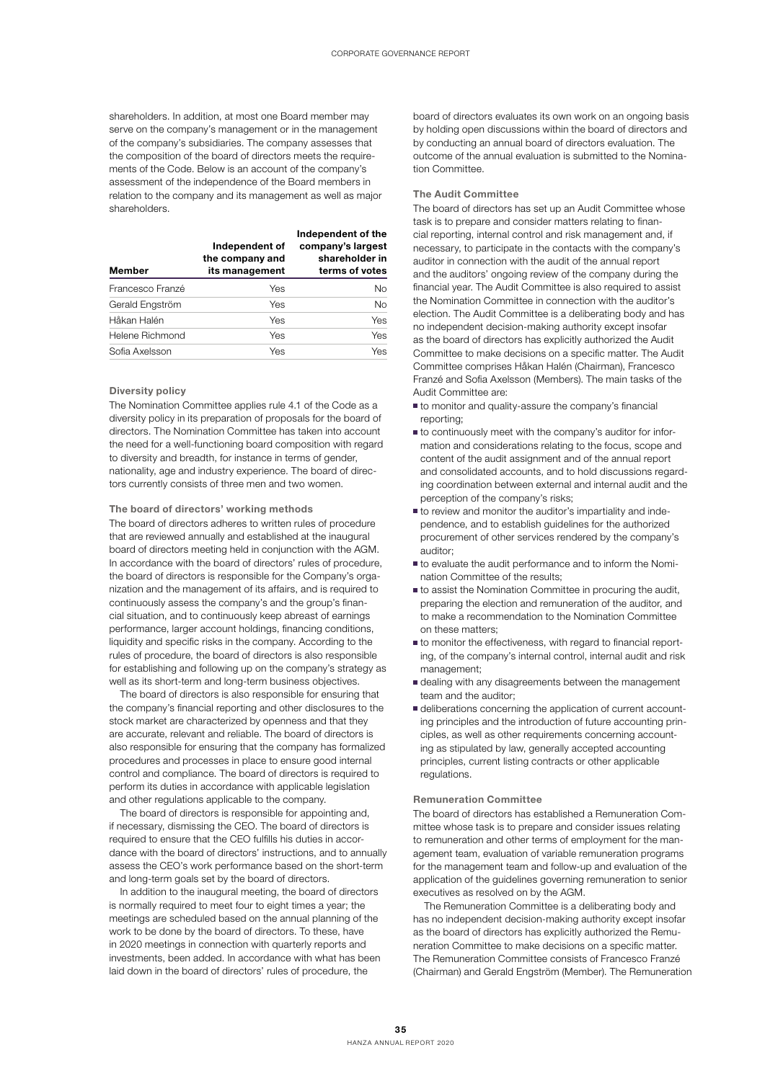shareholders. In addition, at most one Board member may serve on the company's management or in the management of the company's subsidiaries. The company assesses that the composition of the board of directors meets the requirements of the Code. Below is an account of the company's assessment of the independence of the Board members in relation to the company and its management as well as major shareholders.

| Member           | Independent of<br>the company and<br>its management | Independent of the<br>company's largest<br>shareholder in<br>terms of votes |
|------------------|-----------------------------------------------------|-----------------------------------------------------------------------------|
| Francesco Franzé | Yes                                                 | No.                                                                         |
| Gerald Engström  | Yes                                                 | <b>No</b>                                                                   |
| Håkan Halén      | Yes                                                 | Yes                                                                         |
| Helene Richmond  | Yes                                                 | Yes                                                                         |
| Sofia Axelsson   | Yes                                                 | Yes                                                                         |

## Diversity policy

The Nomination Committee applies rule 4.1 of the Code as a diversity policy in its preparation of proposals for the board of directors. The Nomination Committee has taken into account the need for a well-functioning board composition with regard to diversity and breadth, for instance in terms of gender, nationality, age and industry experience. The board of directors currently consists of three men and two women.

#### The board of directors' working methods

The board of directors adheres to written rules of procedure that are reviewed annually and established at the inaugural board of directors meeting held in conjunction with the AGM. In accordance with the board of directors' rules of procedure, the board of directors is responsible for the Company's organization and the management of its affairs, and is required to continuously assess the company's and the group's financial situation, and to continuously keep abreast of earnings performance, larger account holdings, financing conditions, liquidity and specific risks in the company. According to the rules of procedure, the board of directors is also responsible for establishing and following up on the company's strategy as well as its short-term and long-term business objectives.

The board of directors is also responsible for ensuring that the company's financial reporting and other disclosures to the stock market are characterized by openness and that they are accurate, relevant and reliable. The board of directors is also responsible for ensuring that the company has formalized procedures and processes in place to ensure good internal control and compliance. The board of directors is required to perform its duties in accordance with applicable legislation and other regulations applicable to the company.

The board of directors is responsible for appointing and, if necessary, dismissing the CEO. The board of directors is required to ensure that the CEO fulfills his duties in accordance with the board of directors' instructions, and to annually assess the CEO's work performance based on the short-term and long-term goals set by the board of directors.

In addition to the inaugural meeting, the board of directors is normally required to meet four to eight times a year; the meetings are scheduled based on the annual planning of the work to be done by the board of directors. To these, have in 2020 meetings in connection with quarterly reports and investments, been added. In accordance with what has been laid down in the board of directors' rules of procedure, the

board of directors evaluates its own work on an ongoing basis by holding open discussions within the board of directors and by conducting an annual board of directors evaluation. The outcome of the annual evaluation is submitted to the Nomination Committee.

#### The Audit Committee

The board of directors has set up an Audit Committee whose task is to prepare and consider matters relating to financial reporting, internal control and risk management and, if necessary, to participate in the contacts with the company's auditor in connection with the audit of the annual report and the auditors' ongoing review of the company during the financial year. The Audit Committee is also required to assist the Nomination Committee in connection with the auditor's election. The Audit Committee is a deliberating body and has no independent decision-making authority except insofar as the board of directors has explicitly authorized the Audit Committee to make decisions on a specific matter. The Audit Committee comprises Håkan Halén (Chairman), Francesco Franzé and Sofia Axelsson (Members). The main tasks of the Audit Committee are:

- to monitor and quality-assure the company's financial reporting;
- to continuously meet with the company's auditor for information and considerations relating to the focus, scope and content of the audit assignment and of the annual report and consolidated accounts, and to hold discussions regarding coordination between external and internal audit and the perception of the company's risks;
- to review and monitor the auditor's impartiality and independence, and to establish guidelines for the authorized procurement of other services rendered by the company's auditor;
- to evaluate the audit performance and to inform the Nomination Committee of the results;
- to assist the Nomination Committee in procuring the audit, preparing the election and remuneration of the auditor, and to make a recommendation to the Nomination Committee on these matters;
- to monitor the effectiveness, with regard to financial reporting, of the company's internal control, internal audit and risk management;
- dealing with any disagreements between the management team and the auditor;
- deliberations concerning the application of current accounting principles and the introduction of future accounting principles, as well as other requirements concerning accounting as stipulated by law, generally accepted accounting principles, current listing contracts or other applicable regulations.

## Remuneration Committee

The board of directors has established a Remuneration Committee whose task is to prepare and consider issues relating to remuneration and other terms of employment for the management team, evaluation of variable remuneration programs for the management team and follow-up and evaluation of the application of the guidelines governing remuneration to senior executives as resolved on by the AGM.

The Remuneration Committee is a deliberating body and has no independent decision-making authority except insofar as the board of directors has explicitly authorized the Remuneration Committee to make decisions on a specific matter. The Remuneration Committee consists of Francesco Franzé (Chairman) and Gerald Engström (Member). The Remuneration